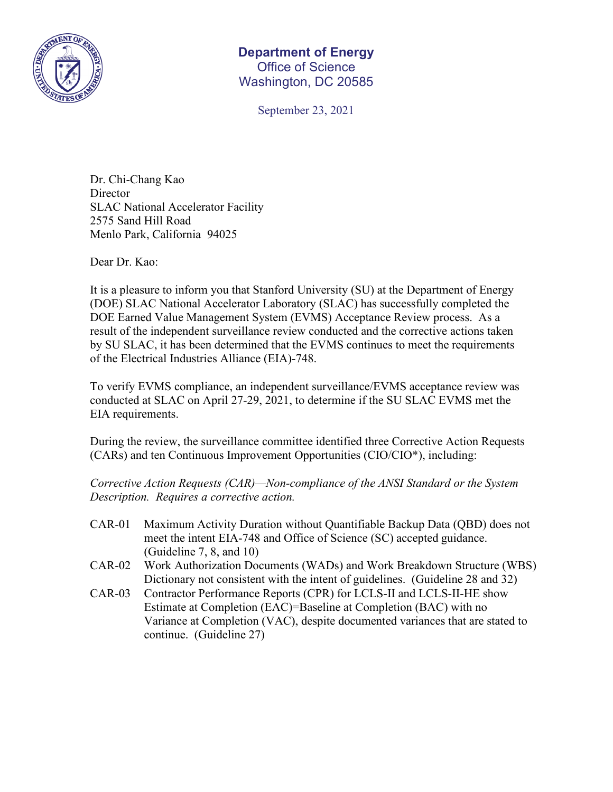

## **Department of Energy**  Office of Science Washington, DC 20585

September 23, 2021

Dr. Chi-Chang Kao **Director** SLAC National Accelerator Facility 2575 Sand Hill Road Menlo Park, California 94025

Dear Dr. Kao:

It is a pleasure to inform you that Stanford University (SU) at the Department of Energy (DOE) SLAC National Accelerator Laboratory (SLAC) has successfully completed the DOE Earned Value Management System (EVMS) Acceptance Review process. As a result of the independent surveillance review conducted and the corrective actions taken by SU SLAC, it has been determined that the EVMS continues to meet the requirements of the Electrical Industries Alliance (EIA)-748.

To verify EVMS compliance, an independent surveillance/EVMS acceptance review was conducted at SLAC on April 27-29, 2021, to determine if the SU SLAC EVMS met the EIA requirements.

During the review, the surveillance committee identified three Corrective Action Requests (CARs) and ten Continuous Improvement Opportunities (CIO/CIO\*), including:

*Corrective Action Requests (CAR)—Non-compliance of the ANSI Standard or the System Description. Requires a corrective action.*

- CAR-01 Maximum Activity Duration without Quantifiable Backup Data (QBD) does not meet the intent EIA-748 and Office of Science (SC) accepted guidance. (Guideline 7, 8, and 10)
- CAR-02 Work Authorization Documents (WADs) and Work Breakdown Structure (WBS) Dictionary not consistent with the intent of guidelines. (Guideline 28 and 32)
- CAR-03 Contractor Performance Reports (CPR) for LCLS-II and LCLS-II-HE show Estimate at Completion (EAC)=Baseline at Completion (BAC) with no Variance at Completion (VAC), despite documented variances that are stated to continue. (Guideline 27)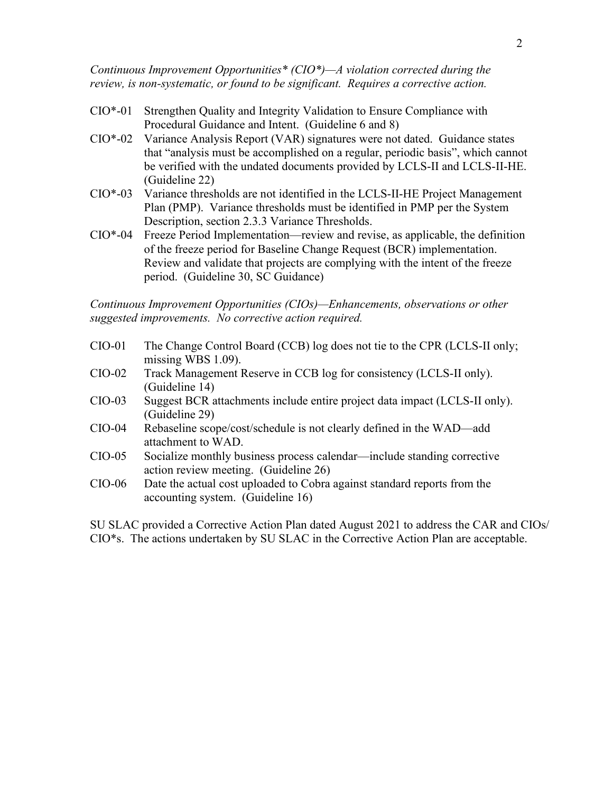*Continuous Improvement Opportunities\* (CIO\*)—A violation corrected during the review, is non-systematic, or found to be significant. Requires a corrective action.* 

- CIO\*-01 Strengthen Quality and Integrity Validation to Ensure Compliance with Procedural Guidance and Intent. (Guideline 6 and 8)
- CIO\*-02 Variance Analysis Report (VAR) signatures were not dated. Guidance states that "analysis must be accomplished on a regular, periodic basis", which cannot be verified with the undated documents provided by LCLS-II and LCLS-II-HE. (Guideline 22)
- CIO\*-03 Variance thresholds are not identified in the LCLS-II-HE Project Management Plan (PMP). Variance thresholds must be identified in PMP per the System Description, section 2.3.3 Variance Thresholds.
- CIO\*-04 Freeze Period Implementation—review and revise, as applicable, the definition of the freeze period for Baseline Change Request (BCR) implementation. Review and validate that projects are complying with the intent of the freeze period. (Guideline 30, SC Guidance)

*Continuous Improvement Opportunities (CIOs)—Enhancements, observations or other suggested improvements. No corrective action required.*

- CIO-01 The Change Control Board (CCB) log does not tie to the CPR (LCLS-II only; missing WBS 1.09).
- CIO-02 Track Management Reserve in CCB log for consistency (LCLS-II only). (Guideline 14)
- CIO-03 Suggest BCR attachments include entire project data impact (LCLS-II only). (Guideline 29)
- CIO-04 Rebaseline scope/cost/schedule is not clearly defined in the WAD—add attachment to WAD.
- CIO-05 Socialize monthly business process calendar—include standing corrective action review meeting. (Guideline 26)
- CIO-06 Date the actual cost uploaded to Cobra against standard reports from the accounting system. (Guideline 16)

SU SLAC provided a Corrective Action Plan dated August 2021 to address the CAR and CIOs/ CIO\*s. The actions undertaken by SU SLAC in the Corrective Action Plan are acceptable.